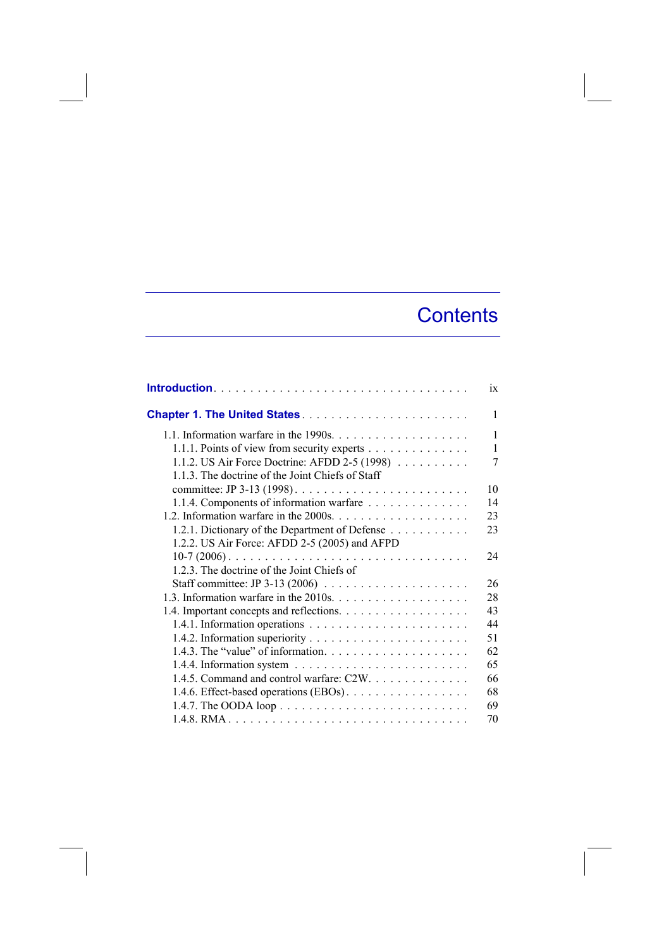## **Contents**

|                                                                                    | $\overline{1}X$ |
|------------------------------------------------------------------------------------|-----------------|
|                                                                                    | 1               |
| 1.1. Information warfare in the 1990s. $\dots \dots \dots \dots \dots \dots \dots$ | 1               |
| 1.1.1. Points of view from security experts                                        | $\mathbf{1}$    |
| 1.1.2. US Air Force Doctrine: AFDD 2-5 (1998)                                      | 7               |
| 1.1.3. The doctrine of the Joint Chiefs of Staff                                   |                 |
|                                                                                    | 10              |
| 1.1.4. Components of information warfare                                           | 14              |
|                                                                                    | 23              |
| 1.2.1. Dictionary of the Department of Defense                                     | 23              |
| 1.2.2. US Air Force: AFDD 2-5 (2005) and AFPD                                      |                 |
| $10-7$ (2006)                                                                      | 24              |
| 1.2.3. The doctrine of the Joint Chiefs of                                         |                 |
| Staff committee: JP 3-13 (2006) $\ldots \ldots \ldots \ldots \ldots \ldots$        | 26              |
|                                                                                    | 28              |
|                                                                                    | 43              |
|                                                                                    | 44              |
|                                                                                    | 51              |
|                                                                                    | 62              |
|                                                                                    | 65              |
| 1.4.5. Command and control warfare: C2W.                                           | 66              |
| 1.4.6. Effect-based operations (EBOs).                                             | 68              |
|                                                                                    | 69              |
|                                                                                    | 70              |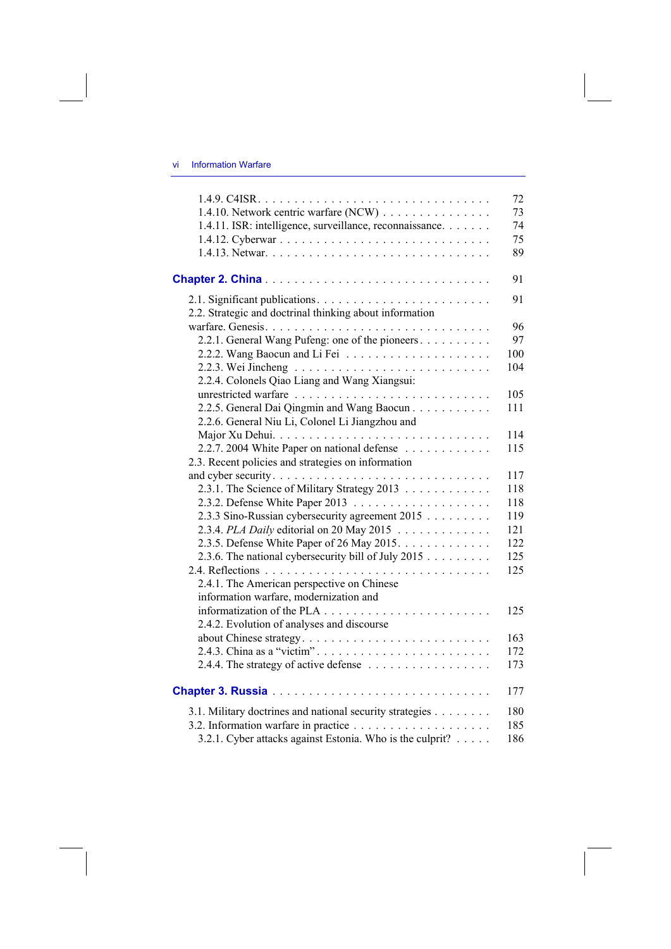## vi Information Warfare

|                                                           | 72  |
|-----------------------------------------------------------|-----|
| 1.4.10. Network centric warfare (NCW)                     | 73  |
| 1.4.11. ISR: intelligence, surveillance, reconnaissance.  | 74  |
|                                                           | 75  |
|                                                           | 89  |
|                                                           | 91  |
| 2.2. Strategic and doctrinal thinking about information   | 91  |
|                                                           | 96  |
| 2.2.1. General Wang Pufeng: one of the pioneers           | 97  |
|                                                           | 100 |
|                                                           | 104 |
| 2.2.4. Colonels Qiao Liang and Wang Xiangsui:             |     |
|                                                           | 105 |
| 2.2.5. General Dai Qingmin and Wang Baocun                | 111 |
| 2.2.6. General Niu Li, Colonel Li Jiangzhou and           |     |
|                                                           | 114 |
| 2.2.7. 2004 White Paper on national defense               | 115 |
| 2.3. Recent policies and strategies on information        |     |
|                                                           | 117 |
| 2.3.1. The Science of Military Strategy 2013              | 118 |
|                                                           | 118 |
| 2.3.3 Sino-Russian cybersecurity agreement 2015           | 119 |
| 2.3.4. PLA Daily editorial on 20 May 2015                 | 121 |
| 2.3.5. Defense White Paper of 26 May 2015.                | 122 |
| 2.3.6. The national cybersecurity bill of July 2015       | 125 |
|                                                           | 125 |
| 2.4.1. The American perspective on Chinese                |     |
| information warfare, modernization and                    |     |
|                                                           | 125 |
| 2.4.2. Evolution of analyses and discourse                |     |
|                                                           | 163 |
| 2.4.3. China as a "victim"                                | 172 |
| 2.4.4. The strategy of active defense                     | 173 |
|                                                           | 177 |
| 3.1. Military doctrines and national security strategies  | 180 |
|                                                           | 185 |
| 3.2.1. Cyber attacks against Estonia. Who is the culprit? | 186 |